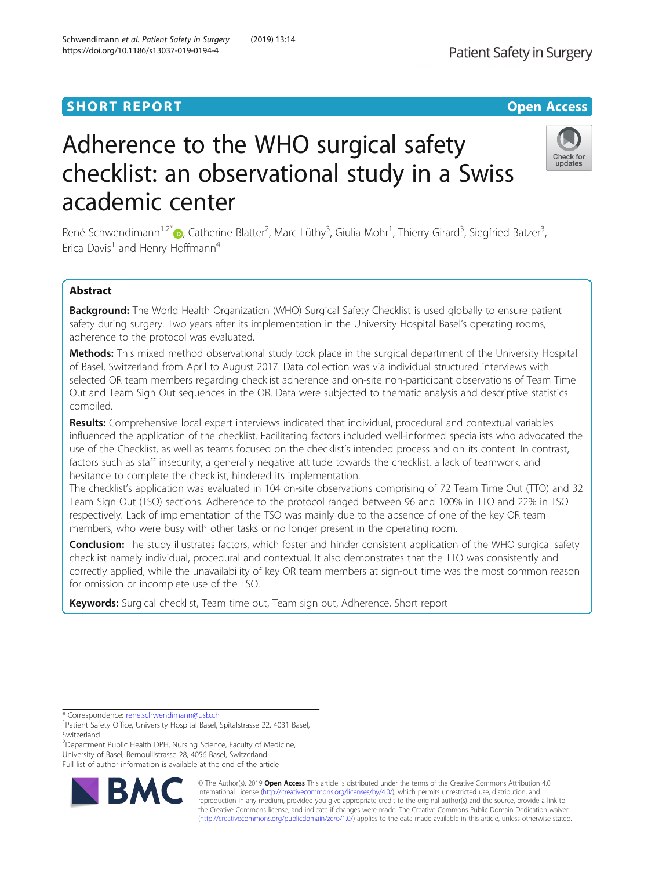# **SHORT REPORT SHORT CONSUMING THE CONSUMING THE CONSUMING THE CONSUMING THE CONSUMING THE CONSUMING THE CONSUMING THE CONSUMING THE CONSUMING THE CONSUMING THE CONSUMING THE CONSUMING THE CONSUMING THE CONSUMING THE CONS**

# Adherence to the WHO surgical safety checklist: an observational study in a Swiss academic center

René Schwendimann<sup>1,2\*</sup>®, Catherine Blatter<sup>2</sup>, Marc Lüthy<sup>3</sup>, Giulia Mohr<sup>1</sup>, Thierry Girard<sup>3</sup>, Siegfried Batzer<sup>3</sup> , Erica Davis<sup>1</sup> and Henry Hoffmann<sup>4</sup>

# Abstract

Background: The World Health Organization (WHO) Surgical Safety Checklist is used globally to ensure patient safety during surgery. Two years after its implementation in the University Hospital Basel's operating rooms, adherence to the protocol was evaluated.

Methods: This mixed method observational study took place in the surgical department of the University Hospital of Basel, Switzerland from April to August 2017. Data collection was via individual structured interviews with selected OR team members regarding checklist adherence and on-site non-participant observations of Team Time Out and Team Sign Out sequences in the OR. Data were subjected to thematic analysis and descriptive statistics compiled.

Results: Comprehensive local expert interviews indicated that individual, procedural and contextual variables influenced the application of the checklist. Facilitating factors included well-informed specialists who advocated the use of the Checklist, as well as teams focused on the checklist's intended process and on its content. In contrast, factors such as staff insecurity, a generally negative attitude towards the checklist, a lack of teamwork, and hesitance to complete the checklist, hindered its implementation.

The checklist's application was evaluated in 104 on-site observations comprising of 72 Team Time Out (TTO) and 32 Team Sign Out (TSO) sections. Adherence to the protocol ranged between 96 and 100% in TTO and 22% in TSO respectively. Lack of implementation of the TSO was mainly due to the absence of one of the key OR team members, who were busy with other tasks or no longer present in the operating room.

Conclusion: The study illustrates factors, which foster and hinder consistent application of the WHO surgical safety checklist namely individual, procedural and contextual. It also demonstrates that the TTO was consistently and correctly applied, while the unavailability of key OR team members at sign-out time was the most common reason for omission or incomplete use of the TSO.

Keywords: Surgical checklist, Team time out, Team sign out, Adherence, Short report

<sup>2</sup>Department Public Health DPH, Nursing Science, Faculty of Medicine, University of Basel; Bernoullistrasse 28, 4056 Basel, Switzerland Full list of author information is available at the end of the article

> © The Author(s). 2019 **Open Access** This article is distributed under the terms of the Creative Commons Attribution 4.0 International License [\(http://creativecommons.org/licenses/by/4.0/](http://creativecommons.org/licenses/by/4.0/)), which permits unrestricted use, distribution, and reproduction in any medium, provided you give appropriate credit to the original author(s) and the source, provide a link to the Creative Commons license, and indicate if changes were made. The Creative Commons Public Domain Dedication waiver [\(http://creativecommons.org/publicdomain/zero/1.0/](http://creativecommons.org/publicdomain/zero/1.0/)) applies to the data made available in this article, unless otherwise stated.



Patient Safety in Surgery





<sup>\*</sup> Correspondence: [rene.schwendimann@usb.ch](mailto:rene.schwendimann@usb.ch) <sup>1</sup>

<sup>&</sup>lt;sup>1</sup>Patient Safety Office, University Hospital Basel, Spitalstrasse 22, 4031 Basel, Switzerland

**BM**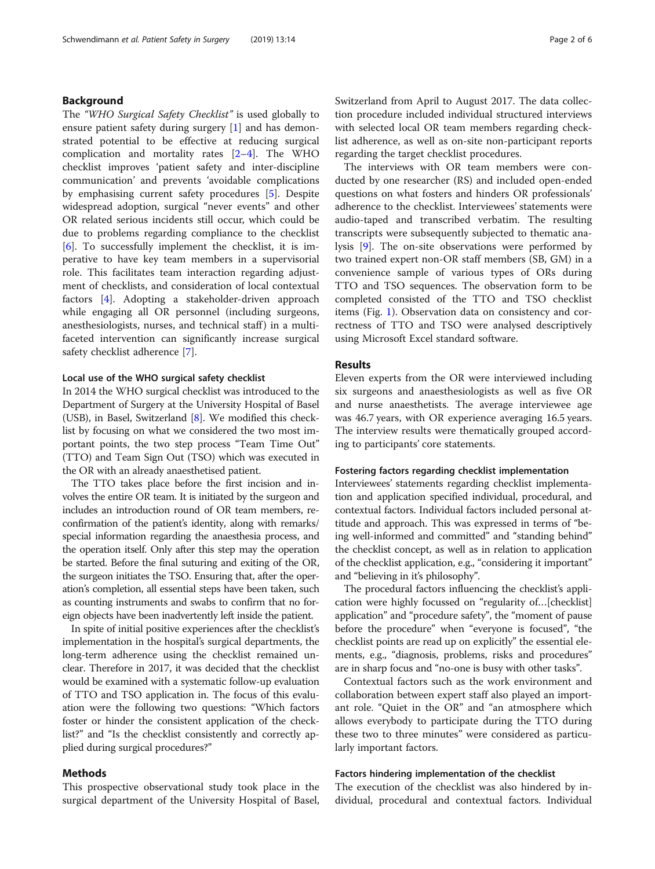# Background

The "WHO Surgical Safety Checklist" is used globally to ensure patient safety during surgery [[1\]](#page-4-0) and has demonstrated potential to be effective at reducing surgical complication and mortality rates [[2](#page-4-0)–[4](#page-4-0)]. The WHO checklist improves 'patient safety and inter-discipline communication' and prevents 'avoidable complications by emphasising current safety procedures [\[5](#page-4-0)]. Despite widespread adoption, surgical "never events" and other OR related serious incidents still occur, which could be due to problems regarding compliance to the checklist [[6\]](#page-4-0). To successfully implement the checklist, it is imperative to have key team members in a supervisorial role. This facilitates team interaction regarding adjustment of checklists, and consideration of local contextual factors [[4](#page-4-0)]. Adopting a stakeholder-driven approach while engaging all OR personnel (including surgeons, anesthesiologists, nurses, and technical staff) in a multifaceted intervention can significantly increase surgical safety checklist adherence [[7\]](#page-4-0).

# Local use of the WHO surgical safety checklist

In 2014 the WHO surgical checklist was introduced to the Department of Surgery at the University Hospital of Basel (USB), in Basel, Switzerland [\[8](#page-4-0)]. We modified this checklist by focusing on what we considered the two most important points, the two step process "Team Time Out" (TTO) and Team Sign Out (TSO) which was executed in the OR with an already anaesthetised patient.

The TTO takes place before the first incision and involves the entire OR team. It is initiated by the surgeon and includes an introduction round of OR team members, reconfirmation of the patient's identity, along with remarks/ special information regarding the anaesthesia process, and the operation itself. Only after this step may the operation be started. Before the final suturing and exiting of the OR, the surgeon initiates the TSO. Ensuring that, after the operation's completion, all essential steps have been taken, such as counting instruments and swabs to confirm that no foreign objects have been inadvertently left inside the patient.

In spite of initial positive experiences after the checklist's implementation in the hospital's surgical departments, the long-term adherence using the checklist remained unclear. Therefore in 2017, it was decided that the checklist would be examined with a systematic follow-up evaluation of TTO and TSO application in. The focus of this evaluation were the following two questions: "Which factors foster or hinder the consistent application of the checklist?" and "Is the checklist consistently and correctly applied during surgical procedures?"

# Methods

This prospective observational study took place in the surgical department of the University Hospital of Basel, Switzerland from April to August 2017. The data collection procedure included individual structured interviews with selected local OR team members regarding checklist adherence, as well as on-site non-participant reports regarding the target checklist procedures.

The interviews with OR team members were conducted by one researcher (RS) and included open-ended questions on what fosters and hinders OR professionals' adherence to the checklist. Interviewees' statements were audio-taped and transcribed verbatim. The resulting transcripts were subsequently subjected to thematic analysis [\[9](#page-4-0)]. The on-site observations were performed by two trained expert non-OR staff members (SB, GM) in a convenience sample of various types of ORs during TTO and TSO sequences. The observation form to be completed consisted of the TTO and TSO checklist items (Fig. [1](#page-2-0)). Observation data on consistency and correctness of TTO and TSO were analysed descriptively using Microsoft Excel standard software.

# Results

Eleven experts from the OR were interviewed including six surgeons and anaesthesiologists as well as five OR and nurse anaesthetists. The average interviewee age was 46.7 years, with OR experience averaging 16.5 years. The interview results were thematically grouped according to participants' core statements.

# Fostering factors regarding checklist implementation

Interviewees' statements regarding checklist implementation and application specified individual, procedural, and contextual factors. Individual factors included personal attitude and approach. This was expressed in terms of "being well-informed and committed" and "standing behind" the checklist concept, as well as in relation to application of the checklist application, e.g., "considering it important" and "believing in it's philosophy".

The procedural factors influencing the checklist's application were highly focussed on "regularity of…[checklist] application" and "procedure safety", the "moment of pause before the procedure" when "everyone is focused", "the checklist points are read up on explicitly" the essential elements, e.g., "diagnosis, problems, risks and procedures" are in sharp focus and "no-one is busy with other tasks".

Contextual factors such as the work environment and collaboration between expert staff also played an important role. "Quiet in the OR" and "an atmosphere which allows everybody to participate during the TTO during these two to three minutes" were considered as particularly important factors.

# Factors hindering implementation of the checklist

The execution of the checklist was also hindered by individual, procedural and contextual factors. Individual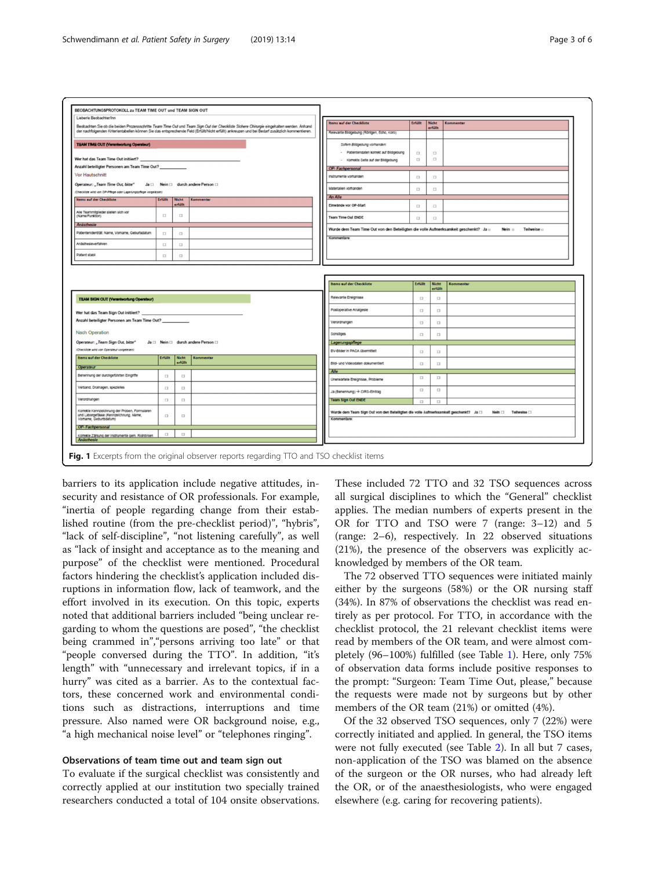<span id="page-2-0"></span>

barriers to its application include negative attitudes, insecurity and resistance of OR professionals. For example, "inertia of people regarding change from their established routine (from the pre-checklist period)", "hybris", "lack of self-discipline", "not listening carefully", as well as "lack of insight and acceptance as to the meaning and purpose" of the checklist were mentioned. Procedural factors hindering the checklist's application included disruptions in information flow, lack of teamwork, and the effort involved in its execution. On this topic, experts noted that additional barriers included "being unclear regarding to whom the questions are posed", "the checklist being crammed in","persons arriving too late" or that "people conversed during the TTO". In addition, "it's length" with "unnecessary and irrelevant topics, if in a hurry" was cited as a barrier. As to the contextual factors, these concerned work and environmental conditions such as distractions, interruptions and time pressure. Also named were OR background noise, e.g., "a high mechanical noise level" or "telephones ringing".

# Observations of team time out and team sign out

To evaluate if the surgical checklist was consistently and correctly applied at our institution two specially trained researchers conducted a total of 104 onsite observations. These included 72 TTO and 32 TSO sequences across all surgical disciplines to which the "General" checklist applies. The median numbers of experts present in the OR for TTO and TSO were 7 (range: 3–12) and 5 (range: 2–6), respectively. In 22 observed situations (21%), the presence of the observers was explicitly acknowledged by members of the OR team.

The 72 observed TTO sequences were initiated mainly either by the surgeons (58%) or the OR nursing staff (34%). In 87% of observations the checklist was read entirely as per protocol. For TTO, in accordance with the checklist protocol, the 21 relevant checklist items were read by members of the OR team, and were almost completely (96–100%) fulfilled (see Table [1](#page-3-0)). Here, only 75% of observation data forms include positive responses to the prompt: "Surgeon: Team Time Out, please," because the requests were made not by surgeons but by other members of the OR team (21%) or omitted (4%).

Of the 32 observed TSO sequences, only 7 (22%) were correctly initiated and applied. In general, the TSO items were not fully executed (see Table [2](#page-3-0)). In all but 7 cases, non-application of the TSO was blamed on the absence of the surgeon or the OR nurses, who had already left the OR, or of the anaesthesiologists, who were engaged elsewhere (e.g. caring for recovering patients).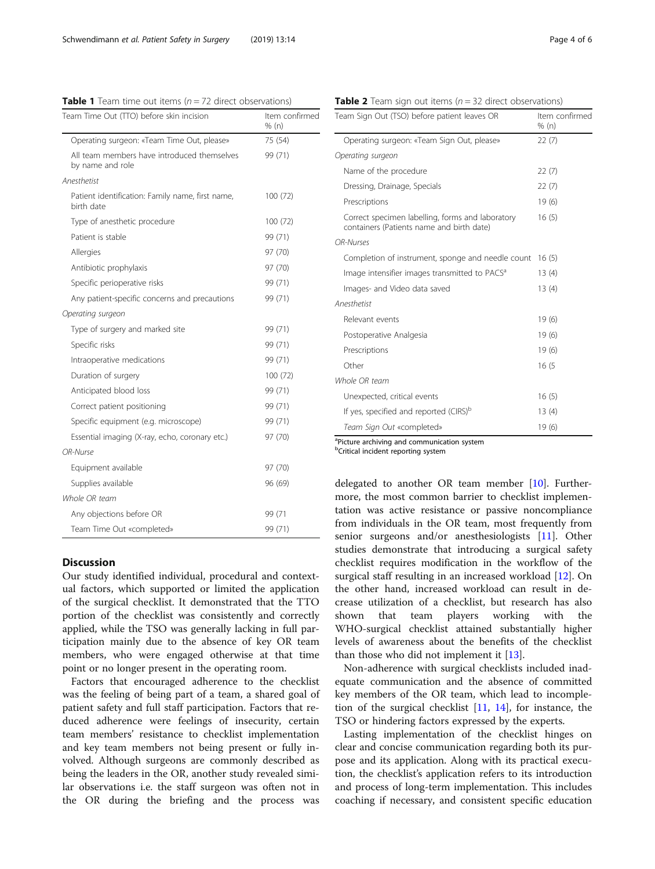<span id="page-3-0"></span>**Table 1** Team time out items ( $n = 72$  direct observations)<br>Team Time Out (TTO) before skin incision (tem confirmed

| Team Time Out (TTO) before skin incision                        | Item confirm<br>% (n) |
|-----------------------------------------------------------------|-----------------------|
| Operating surgeon: «Team Time Out, please»                      | 75 (54)               |
| All team members have introduced themselves<br>by name and role | 99 (71)               |
| Anesthetist                                                     |                       |
| Patient identification: Family name, first name,<br>birth date  | 100(72)               |
| Type of anesthetic procedure                                    | 100(72)               |
| Patient is stable                                               | 99 (71)               |
| Allergies                                                       | 97 (70)               |
| Antibiotic prophylaxis                                          | 97 (70)               |
| Specific perioperative risks                                    | 99 (71)               |
| Any patient-specific concerns and precautions                   | 99 (71)               |
| Operating surgeon                                               |                       |
| Type of surgery and marked site                                 | 99 (71)               |
| Specific risks                                                  | 99 (71)               |
| Intraoperative medications                                      | 99 (71)               |
| Duration of surgery                                             | 100(72)               |
| Anticipated blood loss                                          | 99 (71)               |
| Correct patient positioning                                     | 99 (71)               |
| Specific equipment (e.g. microscope)                            | 99 (71)               |
| Essential imaging (X-ray, echo, coronary etc.)                  | 97 (70)               |
| OR-Nurse                                                        |                       |
| Equipment available                                             | 97 (70)               |
| Supplies available                                              | 96 (69)               |
| Whole OR team                                                   |                       |
| Any objections before OR                                        | 99 (71                |
| Team Time Out «completed»                                       | 99 (71)               |

# **Discussion**

Our study identified individual, procedural and contextual factors, which supported or limited the application of the surgical checklist. It demonstrated that the TTO portion of the checklist was consistently and correctly applied, while the TSO was generally lacking in full participation mainly due to the absence of key OR team members, who were engaged otherwise at that time point or no longer present in the operating room.

Factors that encouraged adherence to the checklist was the feeling of being part of a team, a shared goal of patient safety and full staff participation. Factors that reduced adherence were feelings of insecurity, certain team members' resistance to checklist implementation and key team members not being present or fully involved. Although surgeons are commonly described as being the leaders in the OR, another study revealed similar observations i.e. the staff surgeon was often not in the OR during the briefing and the process was

**Table 2** Team sign out items ( $n = 32$  direct observations)

| Team Sign Out (TSO) before patient leaves OR                                                  | Item confirmed<br>% (n) |
|-----------------------------------------------------------------------------------------------|-------------------------|
| Operating surgeon: «Team Sign Out, please»                                                    | 22(7)                   |
| Operating surgeon                                                                             |                         |
| Name of the procedure                                                                         | 22(7)                   |
| Dressing, Drainage, Specials                                                                  | 22(7)                   |
| Prescriptions                                                                                 | 19(6)                   |
| Correct specimen labelling, forms and laboratory<br>containers (Patients name and birth date) | 16(5)                   |
| OR-Nurses                                                                                     |                         |
| Completion of instrument, sponge and needle count                                             | 16(5)                   |
| Image intensifier images transmitted to PACS <sup>a</sup>                                     | 13(4)                   |
| Images- and Video data saved                                                                  | 13(4)                   |
| Anesthetist                                                                                   |                         |
| Relevant events                                                                               | 19(6)                   |
| Postoperative Analgesia                                                                       | 19(6)                   |
| Prescriptions                                                                                 | 19 (6)                  |
| Other                                                                                         | 16(5)                   |
| Whole OR team                                                                                 |                         |
| Unexpected, critical events                                                                   | 16(5)                   |
| If yes, specified and reported (CIRS) <sup>b</sup>                                            | 13(4)                   |
| Team Sign Out «completed»                                                                     | 19 (6)                  |

<sup>a</sup>Picture archiving and communication system

**b**Critical incident reporting system

delegated to another OR team member [\[10](#page-4-0)]. Furthermore, the most common barrier to checklist implementation was active resistance or passive noncompliance from individuals in the OR team, most frequently from senior surgeons and/or anesthesiologists [\[11](#page-5-0)]. Other studies demonstrate that introducing a surgical safety checklist requires modification in the workflow of the surgical staff resulting in an increased workload [\[12](#page-5-0)]. On the other hand, increased workload can result in decrease utilization of a checklist, but research has also shown that team players working with the WHO-surgical checklist attained substantially higher levels of awareness about the benefits of the checklist than those who did not implement it [\[13](#page-5-0)].

Non-adherence with surgical checklists included inadequate communication and the absence of committed key members of the OR team, which lead to incompletion of the surgical checklist [[11,](#page-5-0) [14\]](#page-5-0), for instance, the TSO or hindering factors expressed by the experts.

Lasting implementation of the checklist hinges on clear and concise communication regarding both its purpose and its application. Along with its practical execution, the checklist's application refers to its introduction and process of long-term implementation. This includes coaching if necessary, and consistent specific education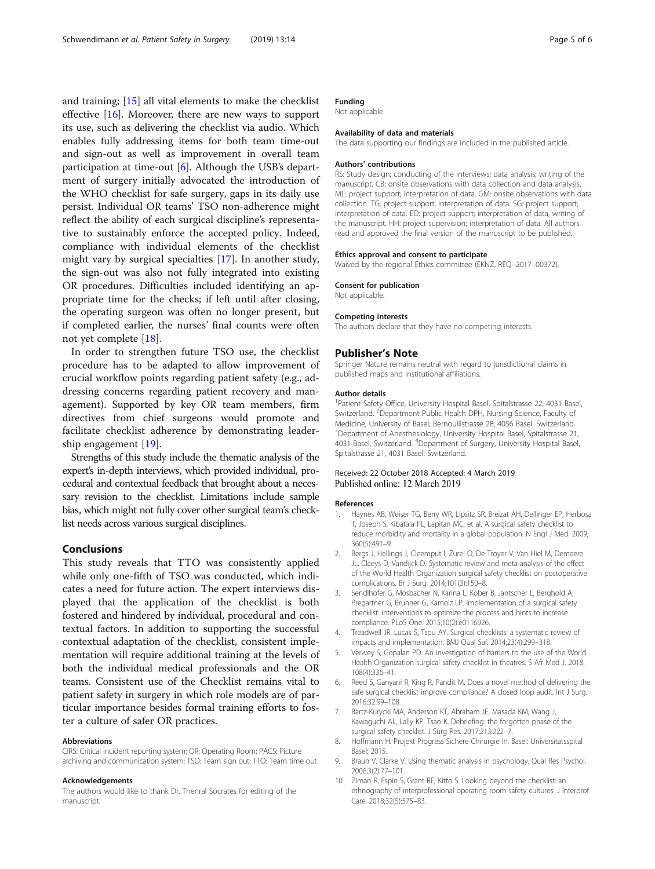<span id="page-4-0"></span>and training; [[15\]](#page-5-0) all vital elements to make the checklist effective [\[16](#page-5-0)]. Moreover, there are new ways to support its use, such as delivering the checklist via audio. Which enables fully addressing items for both team time-out and sign-out as well as improvement in overall team participation at time-out  $[6]$ . Although the USB's department of surgery initially advocated the introduction of the WHO checklist for safe surgery, gaps in its daily use persist. Individual OR teams' TSO non-adherence might reflect the ability of each surgical discipline's representative to sustainably enforce the accepted policy. Indeed, compliance with individual elements of the checklist might vary by surgical specialties [[17](#page-5-0)]. In another study, the sign-out was also not fully integrated into existing OR procedures. Difficulties included identifying an appropriate time for the checks; if left until after closing, the operating surgeon was often no longer present, but if completed earlier, the nurses' final counts were often not yet complete [[18\]](#page-5-0).

In order to strengthen future TSO use, the checklist procedure has to be adapted to allow improvement of crucial workflow points regarding patient safety (e.g., addressing concerns regarding patient recovery and management). Supported by key OR team members, firm directives from chief surgeons would promote and facilitate checklist adherence by demonstrating leadership engagement [[19\]](#page-5-0).

Strengths of this study include the thematic analysis of the expert's in-depth interviews, which provided individual, procedural and contextual feedback that brought about a necessary revision to the checklist. Limitations include sample bias, which might not fully cover other surgical team's checklist needs across various surgical disciplines.

# Conclusions

This study reveals that TTO was consistently applied while only one-fifth of TSO was conducted, which indicates a need for future action. The expert interviews displayed that the application of the checklist is both fostered and hindered by individual, procedural and contextual factors. In addition to supporting the successful contextual adaptation of the checklist, consistent implementation will require additional training at the levels of both the individual medical professionals and the OR teams. Consistent use of the Checklist remains vital to patient safety in surgery in which role models are of particular importance besides formal training efforts to foster a culture of safer OR practices.

### Abbreviations

CIRS: Critical incident reporting system; OR: Operating Room; PACS: Picture archiving and communication system; TSO: Team sign out; TTO: Team time out

#### Acknowledgements

The authors would like to thank Dr. Thenral Socrates for editing of the manuscript.

# Funding

Not applicable.

#### Availability of data and materials

The data supporting our findings are included in the published article.

### Authors' contributions

RS: Study design; conducting of the interviews; data analysis; writing of the manuscript. CB: onsite observations with data collection and data analysis. ML: project support; interpretation of data. GM: onsite observations with data collection. TG: project support; interpretation of data. SG: project support; interpretation of data. ED: project support; interpretation of data, writing of the manuscript. HH: project supervision; interpretation of data. All authors read and approved the final version of the manuscript to be published.

# Ethics approval and consent to participate

Waived by the regional Ethics committee (EKNZ, REQ–2017–00372).

Consent for publication Not applicable.

# Competing interests

The authors declare that they have no competing interests.

## Publisher's Note

Springer Nature remains neutral with regard to jurisdictional claims in published maps and institutional affiliations.

#### Author details

<sup>1</sup> Patient Safety Office, University Hospital Basel, Spitalstrasse 22, 4031 Basel, Switzerland. <sup>2</sup>Department Public Health DPH, Nursing Science, Faculty of Medicine, University of Basel; Bernoullistrasse 28, 4056 Basel, Switzerland. <sup>3</sup>Department of Anesthesiology, University Hospital Basel, Spitalstrasse 21 4031 Basel, Switzerland. <sup>4</sup>Department of Surgery, University Hospital Basel Spitalstrasse 21, 4031 Basel, Switzerland.

# Received: 22 October 2018 Accepted: 4 March 2019 Published online: 12 March 2019

#### References

- 1. Haynes AB, Weiser TG, Berry WR, Lipsitz SR, Breizat AH, Dellinger EP, Herbosa T, Joseph S, Kibatala PL, Lapitan MC, et al. A surgical safety checklist to reduce morbidity and mortality in a global population. N Engl J Med. 2009; 360(5):491–9.
- 2. Bergs J, Hellings J, Cleemput I, Zurel O, De Troyer V, Van Hiel M, Demeere JL, Claeys D, Vandijck D. Systematic review and meta-analysis of the effect of the World Health Organization surgical safety checklist on postoperative complications. Br J Surg. 2014;101(3):150–8.
- 3. Sendlhofer G, Mosbacher N, Karina L, Kober B, Jantscher L, Berghold A, Pregartner G, Brunner G, Kamolz LP. Implementation of a surgical safety checklist: interventions to optimize the process and hints to increase compliance. PLoS One. 2015;10(2):e0116926.
- 4. Treadwell JR, Lucas S, Tsou AY. Surgical checklists: a systematic review of impacts and implementation. BMJ Qual Saf. 2014;23(4):299–318.
- 5. Verwey S, Gopalan PD. An investigation of barriers to the use of the World Health Organization surgical safety checklist in theatres. S Afr Med J. 2018; 108(4):336–41.
- 6. Reed S, Ganyani R, King R, Pandit M. Does a novel method of delivering the safe surgical checklist improve compliance? A closed loop audit. Int J Surg. 2016;32:99–108.
- 7. Bartz-Kurycki MA, Anderson KT, Abraham JE, Masada KM, Wang J, Kawaguchi AL, Lally KP, Tsao K. Debriefing: the forgotten phase of the surgical safety checklist. J Surg Res. 2017;213:222–7.
- 8. Hoffmann H. Projekt Progress Sichere Chirurgie In. Basel: Universitätsspital Basel; 2015.
- 9. Braun V, Clarke V. Using thematic analysis in psychology. Qual Res Psychol. 2006;3(2):77–101.
- 10. Ziman R, Espin S, Grant RE, Kitto S. Looking beyond the checklist: an ethnography of interprofessional operating room safety cultures. J Interprof Care. 2018;32(5):575–83.